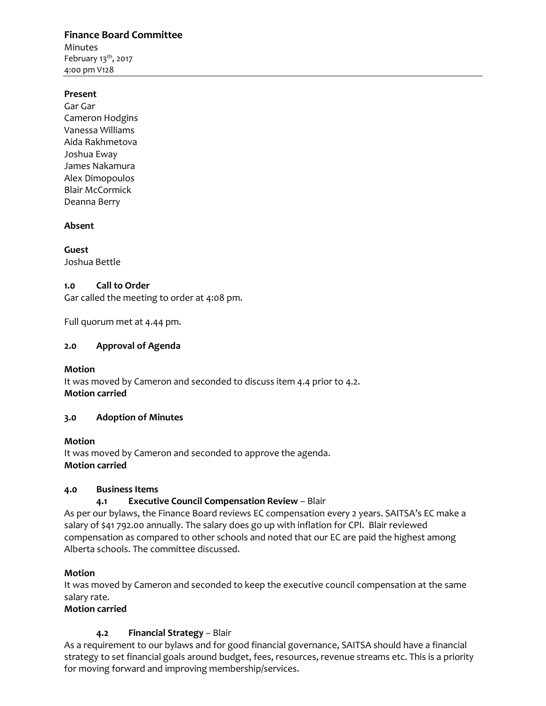## **Finance Board Committee** Minutes February  $13<sup>th</sup>$ , 2017 4:00 pm V128

#### **Present**

Gar Gar Cameron Hodgins Vanessa Williams Aida Rakhmetova Joshua Eway James Nakamura Alex Dimopoulos Blair McCormick Deanna Berry

## **Absent**

**Guest** Joshua Bettle

#### **1.0 Call to Order**

Gar called the meeting to order at 4:08 pm.

Full quorum met at 4.44 pm.

## **2.0 Approval of Agenda**

**Motion**

It was moved by Cameron and seconded to discuss item 4.4 prior to 4.2. **Motion carried**

# **3.0 Adoption of Minutes**

#### **Motion** It was moved by Cameron and seconded to approve the agenda. **Motion carried**

# **4.0 Business Items**

# **4.1 Executive Council Compensation Review** – Blair

As per our bylaws, the Finance Board reviews EC compensation every 2 years. SAITSA's EC make a salary of \$41 792.00 annually. The salary does go up with inflation for CPI. Blair reviewed compensation as compared to other schools and noted that our EC are paid the highest among Alberta schools. The committee discussed.

# **Motion**

It was moved by Cameron and seconded to keep the executive council compensation at the same salary rate.

#### **Motion carried**

# **4.2 Financial Strategy** – Blair

As a requirement to our bylaws and for good financial governance, SAITSA should have a financial strategy to set financial goals around budget, fees, resources, revenue streams etc. This is a priority for moving forward and improving membership/services.